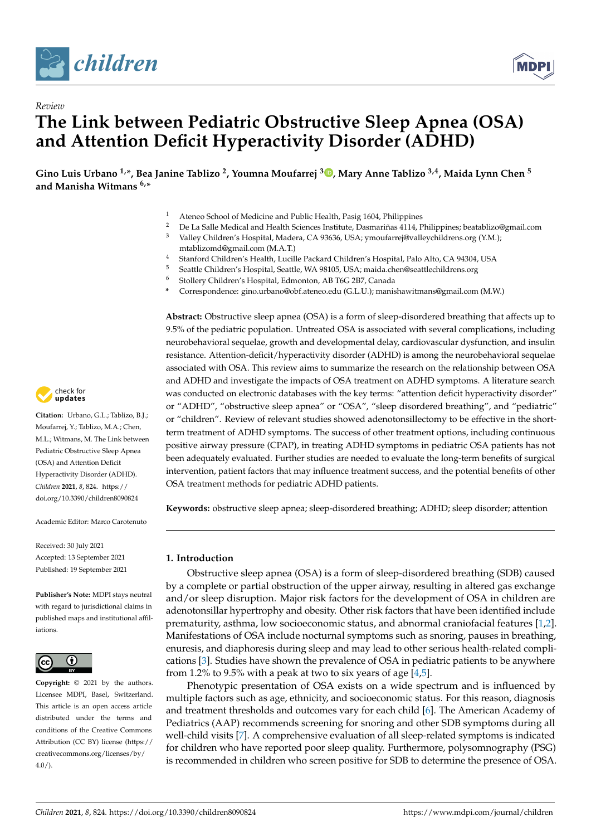



# *Review* **The Link between Pediatric Obstructive Sleep Apnea (OSA) and Attention Deficit Hyperactivity Disorder (ADHD)**

**Gino Luis Urbano 1,\*, Bea Janine Tablizo <sup>2</sup> , Youmna Moufarrej <sup>3</sup> [,](https://orcid.org/0000-0003-1069-8839) Mary Anne Tablizo 3,4, Maida Lynn Chen <sup>5</sup> and Manisha Witmans 6,\***

- 1 Ateneo School of Medicine and Public Health, Pasig 1604, Philippines<br>2 De Le Selle Medical and Health Sciences Institute Desmariñas 4114, B
- <sup>2</sup> De La Salle Medical and Health Sciences Institute, Dasmariñas 4114, Philippines; beatablizo@gmail.com<br><sup>3</sup> Meller Children's Hamilal Madama CA 92026, HCA sure aufamai@aallaankildrena ana O/MA
- <sup>3</sup> Valley Children's Hospital, Madera, CA 93636, USA; ymoufarrej@valleychildrens.org (Y.M.);
	- mtablizomd@gmail.com (M.A.T.)
- 4 Stanford Children's Health, Lucille Packard Children's Hospital, Palo Alto, CA 94304, USA
- 5 Seattle Children's Hospital, Seattle, WA 98105, USA; maida.chen@seattlechildrens.org<br>6 Stollow Children's Hospital, Edmonton, AB T6C 2B7, Canada
- <sup>6</sup> Stollery Children's Hospital, Edmonton, AB T6G 2B7, Canada
- **\*** Correspondence: gino.urbano@obf.ateneo.edu (G.L.U.); manishawitmans@gmail.com (M.W.)

**Abstract:** Obstructive sleep apnea (OSA) is a form of sleep-disordered breathing that affects up to 9.5% of the pediatric population. Untreated OSA is associated with several complications, including neurobehavioral sequelae, growth and developmental delay, cardiovascular dysfunction, and insulin resistance. Attention-deficit/hyperactivity disorder (ADHD) is among the neurobehavioral sequelae associated with OSA. This review aims to summarize the research on the relationship between OSA and ADHD and investigate the impacts of OSA treatment on ADHD symptoms. A literature search was conducted on electronic databases with the key terms: "attention deficit hyperactivity disorder" or "ADHD", "obstructive sleep apnea" or "OSA", "sleep disordered breathing", and "pediatric" or "children". Review of relevant studies showed adenotonsillectomy to be effective in the shortterm treatment of ADHD symptoms. The success of other treatment options, including continuous positive airway pressure (CPAP), in treating ADHD symptoms in pediatric OSA patients has not been adequately evaluated. Further studies are needed to evaluate the long-term benefits of surgical intervention, patient factors that may influence treatment success, and the potential benefits of other OSA treatment methods for pediatric ADHD patients.

**Keywords:** obstructive sleep apnea; sleep-disordered breathing; ADHD; sleep disorder; attention

## **1. Introduction**

Obstructive sleep apnea (OSA) is a form of sleep-disordered breathing (SDB) caused by a complete or partial obstruction of the upper airway, resulting in altered gas exchange and/or sleep disruption. Major risk factors for the development of OSA in children are adenotonsillar hypertrophy and obesity. Other risk factors that have been identified include prematurity, asthma, low socioeconomic status, and abnormal craniofacial features [\[1,](#page-8-0)[2\]](#page-8-1). Manifestations of OSA include nocturnal symptoms such as snoring, pauses in breathing, enuresis, and diaphoresis during sleep and may lead to other serious health-related complications [\[3\]](#page-8-2). Studies have shown the prevalence of OSA in pediatric patients to be anywhere from 1.2% to 9.5% with a peak at two to six years of age  $[4,5]$  $[4,5]$ .

Phenotypic presentation of OSA exists on a wide spectrum and is influenced by multiple factors such as age, ethnicity, and socioeconomic status. For this reason, diagnosis and treatment thresholds and outcomes vary for each child [\[6\]](#page-8-5). The American Academy of Pediatrics (AAP) recommends screening for snoring and other SDB symptoms during all well-child visits [\[7\]](#page-8-6). A comprehensive evaluation of all sleep-related symptoms is indicated for children who have reported poor sleep quality. Furthermore, polysomnography (PSG) is recommended in children who screen positive for SDB to determine the presence of OSA.



**Citation:** Urbano, G.L.; Tablizo, B.J.; Moufarrej, Y.; Tablizo, M.A.; Chen, M.L.; Witmans, M. The Link between Pediatric Obstructive Sleep Apnea (OSA) and Attention Deficit Hyperactivity Disorder (ADHD). *Children* **2021**, *8*, 824. [https://](https://doi.org/10.3390/children8090824) [doi.org/10.3390/children8090824](https://doi.org/10.3390/children8090824)

Academic Editor: Marco Carotenuto

Received: 30 July 2021 Accepted: 13 September 2021 Published: 19 September 2021

**Publisher's Note:** MDPI stays neutral with regard to jurisdictional claims in published maps and institutional affiliations.



**Copyright:** © 2021 by the authors. Licensee MDPI, Basel, Switzerland. This article is an open access article distributed under the terms and conditions of the Creative Commons Attribution (CC BY) license (https:/[/](https://creativecommons.org/licenses/by/4.0/) [creativecommons.org/licenses/by/](https://creativecommons.org/licenses/by/4.0/)  $4.0/$ ).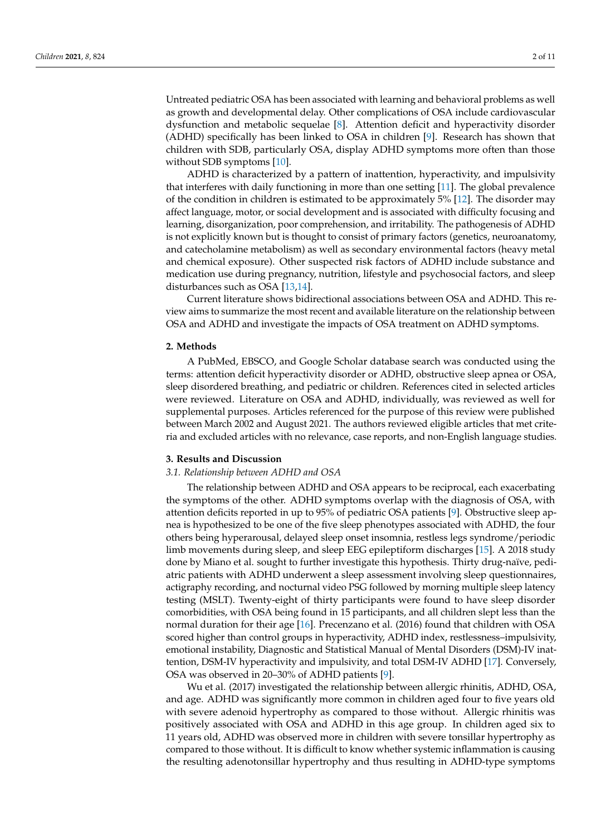Untreated pediatric OSA has been associated with learning and behavioral problems as well as growth and developmental delay. Other complications of OSA include cardiovascular dysfunction and metabolic sequelae [\[8\]](#page-8-7). Attention deficit and hyperactivity disorder (ADHD) specifically has been linked to OSA in children [\[9\]](#page-8-8). Research has shown that children with SDB, particularly OSA, display ADHD symptoms more often than those without SDB symptoms [\[10\]](#page-8-9).

ADHD is characterized by a pattern of inattention, hyperactivity, and impulsivity that interferes with daily functioning in more than one setting [\[11\]](#page-9-0). The global prevalence of the condition in children is estimated to be approximately 5% [\[12\]](#page-9-1). The disorder may affect language, motor, or social development and is associated with difficulty focusing and learning, disorganization, poor comprehension, and irritability. The pathogenesis of ADHD is not explicitly known but is thought to consist of primary factors (genetics, neuroanatomy, and catecholamine metabolism) as well as secondary environmental factors (heavy metal and chemical exposure). Other suspected risk factors of ADHD include substance and medication use during pregnancy, nutrition, lifestyle and psychosocial factors, and sleep disturbances such as OSA [\[13,](#page-9-2)[14\]](#page-9-3).

Current literature shows bidirectional associations between OSA and ADHD. This review aims to summarize the most recent and available literature on the relationship between OSA and ADHD and investigate the impacts of OSA treatment on ADHD symptoms.

#### **2. Methods**

A PubMed, EBSCO, and Google Scholar database search was conducted using the terms: attention deficit hyperactivity disorder or ADHD, obstructive sleep apnea or OSA, sleep disordered breathing, and pediatric or children. References cited in selected articles were reviewed. Literature on OSA and ADHD, individually, was reviewed as well for supplemental purposes. Articles referenced for the purpose of this review were published between March 2002 and August 2021. The authors reviewed eligible articles that met criteria and excluded articles with no relevance, case reports, and non-English language studies.

#### **3. Results and Discussion**

#### *3.1. Relationship between ADHD and OSA*

The relationship between ADHD and OSA appears to be reciprocal, each exacerbating the symptoms of the other. ADHD symptoms overlap with the diagnosis of OSA, with attention deficits reported in up to 95% of pediatric OSA patients [\[9\]](#page-8-8). Obstructive sleep apnea is hypothesized to be one of the five sleep phenotypes associated with ADHD, the four others being hyperarousal, delayed sleep onset insomnia, restless legs syndrome/periodic limb movements during sleep, and sleep EEG epileptiform discharges [\[15\]](#page-9-4). A 2018 study done by Miano et al. sought to further investigate this hypothesis. Thirty drug-naïve, pediatric patients with ADHD underwent a sleep assessment involving sleep questionnaires, actigraphy recording, and nocturnal video PSG followed by morning multiple sleep latency testing (MSLT). Twenty-eight of thirty participants were found to have sleep disorder comorbidities, with OSA being found in 15 participants, and all children slept less than the normal duration for their age [\[16\]](#page-9-5). Precenzano et al. (2016) found that children with OSA scored higher than control groups in hyperactivity, ADHD index, restlessness–impulsivity, emotional instability, Diagnostic and Statistical Manual of Mental Disorders (DSM)-IV inattention, DSM-IV hyperactivity and impulsivity, and total DSM-IV ADHD [\[17\]](#page-9-6). Conversely, OSA was observed in 20–30% of ADHD patients [\[9\]](#page-8-8).

Wu et al. (2017) investigated the relationship between allergic rhinitis, ADHD, OSA, and age. ADHD was significantly more common in children aged four to five years old with severe adenoid hypertrophy as compared to those without. Allergic rhinitis was positively associated with OSA and ADHD in this age group. In children aged six to 11 years old, ADHD was observed more in children with severe tonsillar hypertrophy as compared to those without. It is difficult to know whether systemic inflammation is causing the resulting adenotonsillar hypertrophy and thus resulting in ADHD-type symptoms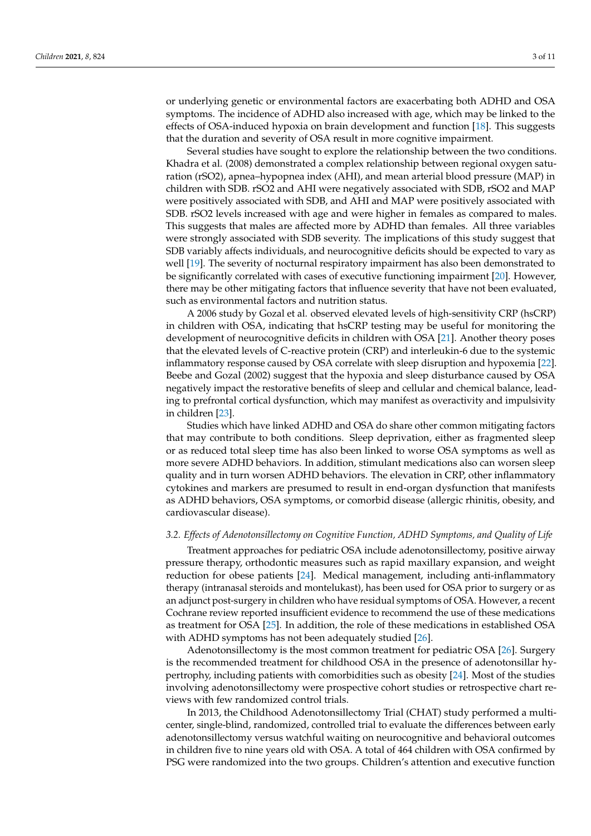or underlying genetic or environmental factors are exacerbating both ADHD and OSA symptoms. The incidence of ADHD also increased with age, which may be linked to the effects of OSA-induced hypoxia on brain development and function [\[18\]](#page-9-7). This suggests that the duration and severity of OSA result in more cognitive impairment.

Several studies have sought to explore the relationship between the two conditions. Khadra et al. (2008) demonstrated a complex relationship between regional oxygen saturation (rSO2), apnea–hypopnea index (AHI), and mean arterial blood pressure (MAP) in children with SDB. rSO2 and AHI were negatively associated with SDB, rSO2 and MAP were positively associated with SDB, and AHI and MAP were positively associated with SDB. rSO2 levels increased with age and were higher in females as compared to males. This suggests that males are affected more by ADHD than females. All three variables were strongly associated with SDB severity. The implications of this study suggest that SDB variably affects individuals, and neurocognitive deficits should be expected to vary as well [\[19\]](#page-9-8). The severity of nocturnal respiratory impairment has also been demonstrated to be significantly correlated with cases of executive functioning impairment [\[20\]](#page-9-9). However, there may be other mitigating factors that influence severity that have not been evaluated, such as environmental factors and nutrition status.

A 2006 study by Gozal et al. observed elevated levels of high-sensitivity CRP (hsCRP) in children with OSA, indicating that hsCRP testing may be useful for monitoring the development of neurocognitive deficits in children with OSA [\[21\]](#page-9-10). Another theory poses that the elevated levels of C-reactive protein (CRP) and interleukin-6 due to the systemic inflammatory response caused by OSA correlate with sleep disruption and hypoxemia [\[22\]](#page-9-11). Beebe and Gozal (2002) suggest that the hypoxia and sleep disturbance caused by OSA negatively impact the restorative benefits of sleep and cellular and chemical balance, leading to prefrontal cortical dysfunction, which may manifest as overactivity and impulsivity in children [\[23\]](#page-9-12).

Studies which have linked ADHD and OSA do share other common mitigating factors that may contribute to both conditions. Sleep deprivation, either as fragmented sleep or as reduced total sleep time has also been linked to worse OSA symptoms as well as more severe ADHD behaviors. In addition, stimulant medications also can worsen sleep quality and in turn worsen ADHD behaviors. The elevation in CRP, other inflammatory cytokines and markers are presumed to result in end-organ dysfunction that manifests as ADHD behaviors, OSA symptoms, or comorbid disease (allergic rhinitis, obesity, and cardiovascular disease).

#### *3.2. Effects of Adenotonsillectomy on Cognitive Function, ADHD Symptoms, and Quality of Life*

Treatment approaches for pediatric OSA include adenotonsillectomy, positive airway pressure therapy, orthodontic measures such as rapid maxillary expansion, and weight reduction for obese patients [\[24\]](#page-9-13). Medical management, including anti-inflammatory therapy (intranasal steroids and montelukast), has been used for OSA prior to surgery or as an adjunct post-surgery in children who have residual symptoms of OSA. However, a recent Cochrane review reported insufficient evidence to recommend the use of these medications as treatment for OSA [\[25\]](#page-9-14). In addition, the role of these medications in established OSA with ADHD symptoms has not been adequately studied [\[26\]](#page-9-15).

Adenotonsillectomy is the most common treatment for pediatric OSA [\[26\]](#page-9-15). Surgery is the recommended treatment for childhood OSA in the presence of adenotonsillar hypertrophy, including patients with comorbidities such as obesity [\[24\]](#page-9-13). Most of the studies involving adenotonsillectomy were prospective cohort studies or retrospective chart reviews with few randomized control trials.

In 2013, the Childhood Adenotonsillectomy Trial (CHAT) study performed a multicenter, single-blind, randomized, controlled trial to evaluate the differences between early adenotonsillectomy versus watchful waiting on neurocognitive and behavioral outcomes in children five to nine years old with OSA. A total of 464 children with OSA confirmed by PSG were randomized into the two groups. Children's attention and executive function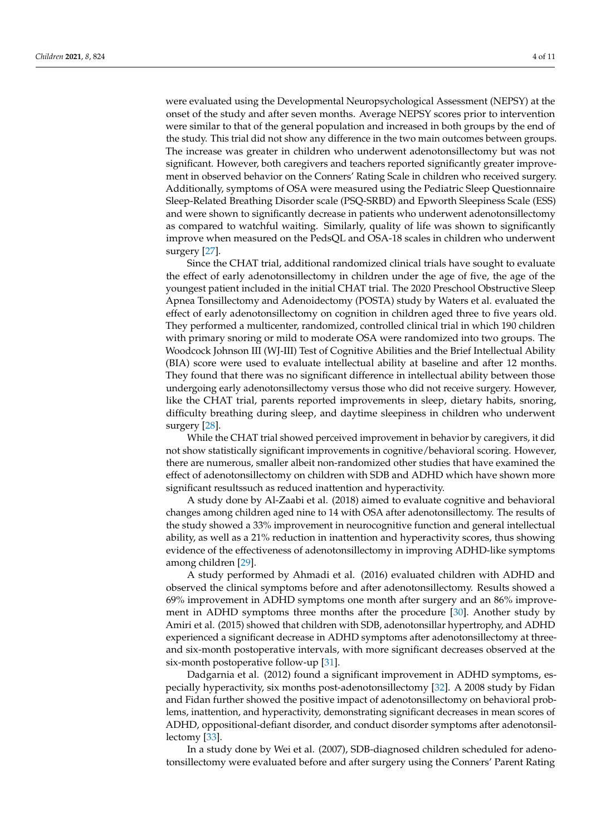were evaluated using the Developmental Neuropsychological Assessment (NEPSY) at the onset of the study and after seven months. Average NEPSY scores prior to intervention were similar to that of the general population and increased in both groups by the end of the study. This trial did not show any difference in the two main outcomes between groups. The increase was greater in children who underwent adenotonsillectomy but was not significant. However, both caregivers and teachers reported significantly greater improvement in observed behavior on the Conners' Rating Scale in children who received surgery. Additionally, symptoms of OSA were measured using the Pediatric Sleep Questionnaire Sleep-Related Breathing Disorder scale (PSQ-SRBD) and Epworth Sleepiness Scale (ESS) and were shown to significantly decrease in patients who underwent adenotonsillectomy as compared to watchful waiting. Similarly, quality of life was shown to significantly improve when measured on the PedsQL and OSA-18 scales in children who underwent surgery [\[27\]](#page-9-16).

Since the CHAT trial, additional randomized clinical trials have sought to evaluate the effect of early adenotonsillectomy in children under the age of five, the age of the youngest patient included in the initial CHAT trial. The 2020 Preschool Obstructive Sleep Apnea Tonsillectomy and Adenoidectomy (POSTA) study by Waters et al. evaluated the effect of early adenotonsillectomy on cognition in children aged three to five years old. They performed a multicenter, randomized, controlled clinical trial in which 190 children with primary snoring or mild to moderate OSA were randomized into two groups. The Woodcock Johnson III (WJ-III) Test of Cognitive Abilities and the Brief Intellectual Ability (BIA) score were used to evaluate intellectual ability at baseline and after 12 months. They found that there was no significant difference in intellectual ability between those undergoing early adenotonsillectomy versus those who did not receive surgery. However, like the CHAT trial, parents reported improvements in sleep, dietary habits, snoring, difficulty breathing during sleep, and daytime sleepiness in children who underwent surgery [\[28\]](#page-9-17).

While the CHAT trial showed perceived improvement in behavior by caregivers, it did not show statistically significant improvements in cognitive/behavioral scoring. However, there are numerous, smaller albeit non-randomized other studies that have examined the effect of adenotonsillectomy on children with SDB and ADHD which have shown more significant resultssuch as reduced inattention and hyperactivity.

A study done by Al-Zaabi et al. (2018) aimed to evaluate cognitive and behavioral changes among children aged nine to 14 with OSA after adenotonsillectomy. The results of the study showed a 33% improvement in neurocognitive function and general intellectual ability, as well as a 21% reduction in inattention and hyperactivity scores, thus showing evidence of the effectiveness of adenotonsillectomy in improving ADHD-like symptoms among children [\[29\]](#page-9-18).

A study performed by Ahmadi et al. (2016) evaluated children with ADHD and observed the clinical symptoms before and after adenotonsillectomy. Results showed a 69% improvement in ADHD symptoms one month after surgery and an 86% improvement in ADHD symptoms three months after the procedure [\[30\]](#page-9-19). Another study by Amiri et al. (2015) showed that children with SDB, adenotonsillar hypertrophy, and ADHD experienced a significant decrease in ADHD symptoms after adenotonsillectomy at threeand six-month postoperative intervals, with more significant decreases observed at the six-month postoperative follow-up [\[31\]](#page-9-20).

Dadgarnia et al. (2012) found a significant improvement in ADHD symptoms, especially hyperactivity, six months post-adenotonsillectomy [\[32\]](#page-9-21). A 2008 study by Fidan and Fidan further showed the positive impact of adenotonsillectomy on behavioral problems, inattention, and hyperactivity, demonstrating significant decreases in mean scores of ADHD, oppositional-defiant disorder, and conduct disorder symptoms after adenotonsillectomy [\[33\]](#page-9-22).

In a study done by Wei et al. (2007), SDB-diagnosed children scheduled for adenotonsillectomy were evaluated before and after surgery using the Conners' Parent Rating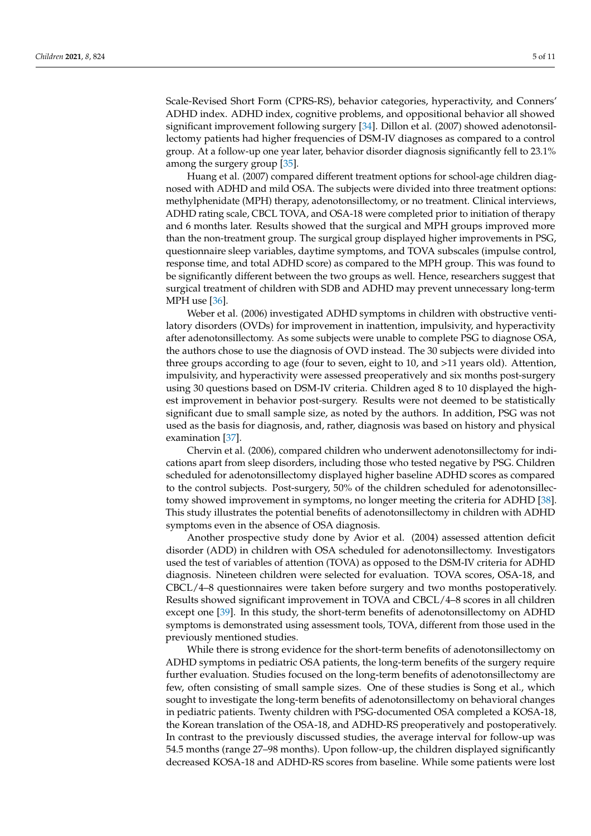Scale-Revised Short Form (CPRS-RS), behavior categories, hyperactivity, and Conners' ADHD index. ADHD index, cognitive problems, and oppositional behavior all showed significant improvement following surgery [\[34\]](#page-9-23). Dillon et al. (2007) showed adenotonsillectomy patients had higher frequencies of DSM-IV diagnoses as compared to a control group. At a follow-up one year later, behavior disorder diagnosis significantly fell to 23.1% among the surgery group [\[35\]](#page-9-24).

Huang et al. (2007) compared different treatment options for school-age children diagnosed with ADHD and mild OSA. The subjects were divided into three treatment options: methylphenidate (MPH) therapy, adenotonsillectomy, or no treatment. Clinical interviews, ADHD rating scale, CBCL TOVA, and OSA-18 were completed prior to initiation of therapy and 6 months later. Results showed that the surgical and MPH groups improved more than the non-treatment group. The surgical group displayed higher improvements in PSG, questionnaire sleep variables, daytime symptoms, and TOVA subscales (impulse control, response time, and total ADHD score) as compared to the MPH group. This was found to be significantly different between the two groups as well. Hence, researchers suggest that surgical treatment of children with SDB and ADHD may prevent unnecessary long-term MPH use [\[36\]](#page-10-0).

Weber et al. (2006) investigated ADHD symptoms in children with obstructive ventilatory disorders (OVDs) for improvement in inattention, impulsivity, and hyperactivity after adenotonsillectomy. As some subjects were unable to complete PSG to diagnose OSA, the authors chose to use the diagnosis of OVD instead. The 30 subjects were divided into three groups according to age (four to seven, eight to 10, and >11 years old). Attention, impulsivity, and hyperactivity were assessed preoperatively and six months post-surgery using 30 questions based on DSM-IV criteria. Children aged 8 to 10 displayed the highest improvement in behavior post-surgery. Results were not deemed to be statistically significant due to small sample size, as noted by the authors. In addition, PSG was not used as the basis for diagnosis, and, rather, diagnosis was based on history and physical examination [\[37\]](#page-10-1).

Chervin et al. (2006), compared children who underwent adenotonsillectomy for indications apart from sleep disorders, including those who tested negative by PSG. Children scheduled for adenotonsillectomy displayed higher baseline ADHD scores as compared to the control subjects. Post-surgery, 50% of the children scheduled for adenotonsillectomy showed improvement in symptoms, no longer meeting the criteria for ADHD [\[38\]](#page-10-2). This study illustrates the potential benefits of adenotonsillectomy in children with ADHD symptoms even in the absence of OSA diagnosis.

Another prospective study done by Avior et al. (2004) assessed attention deficit disorder (ADD) in children with OSA scheduled for adenotonsillectomy. Investigators used the test of variables of attention (TOVA) as opposed to the DSM-IV criteria for ADHD diagnosis. Nineteen children were selected for evaluation. TOVA scores, OSA-18, and CBCL/4–8 questionnaires were taken before surgery and two months postoperatively. Results showed significant improvement in TOVA and CBCL/4–8 scores in all children except one [\[39\]](#page-10-3). In this study, the short-term benefits of adenotonsillectomy on ADHD symptoms is demonstrated using assessment tools, TOVA, different from those used in the previously mentioned studies.

While there is strong evidence for the short-term benefits of adenotonsillectomy on ADHD symptoms in pediatric OSA patients, the long-term benefits of the surgery require further evaluation. Studies focused on the long-term benefits of adenotonsillectomy are few, often consisting of small sample sizes. One of these studies is Song et al., which sought to investigate the long-term benefits of adenotonsillectomy on behavioral changes in pediatric patients. Twenty children with PSG-documented OSA completed a KOSA-18, the Korean translation of the OSA-18, and ADHD-RS preoperatively and postoperatively. In contrast to the previously discussed studies, the average interval for follow-up was 54.5 months (range 27–98 months). Upon follow-up, the children displayed significantly decreased KOSA-18 and ADHD-RS scores from baseline. While some patients were lost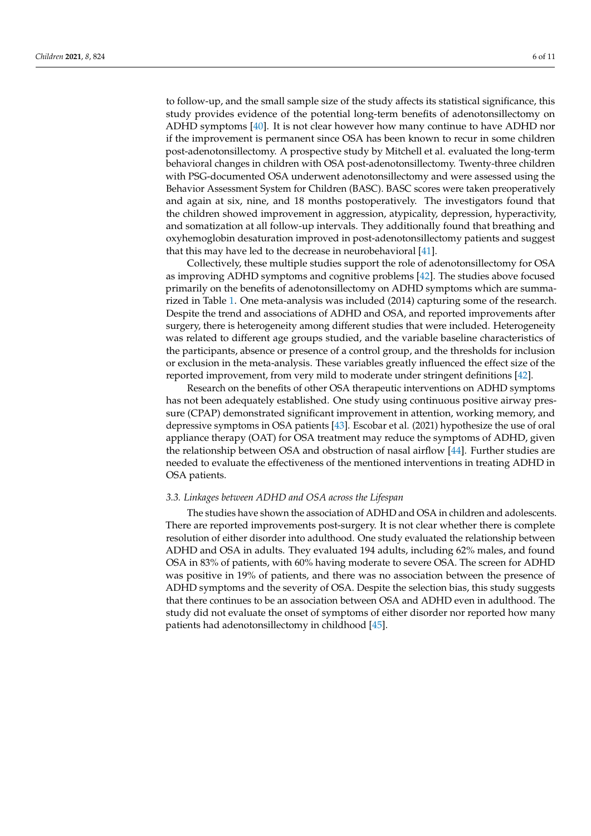to follow-up, and the small sample size of the study affects its statistical significance, this study provides evidence of the potential long-term benefits of adenotonsillectomy on ADHD symptoms [\[40\]](#page-10-4). It is not clear however how many continue to have ADHD nor if the improvement is permanent since OSA has been known to recur in some children post-adenotonsillectomy. A prospective study by Mitchell et al. evaluated the long-term behavioral changes in children with OSA post-adenotonsillectomy. Twenty-three children with PSG-documented OSA underwent adenotonsillectomy and were assessed using the Behavior Assessment System for Children (BASC). BASC scores were taken preoperatively and again at six, nine, and 18 months postoperatively. The investigators found that the children showed improvement in aggression, atypicality, depression, hyperactivity, and somatization at all follow-up intervals. They additionally found that breathing and oxyhemoglobin desaturation improved in post-adenotonsillectomy patients and suggest that this may have led to the decrease in neurobehavioral [\[41\]](#page-10-5).

Collectively, these multiple studies support the role of adenotonsillectomy for OSA as improving ADHD symptoms and cognitive problems [\[42\]](#page-10-6). The studies above focused primarily on the benefits of adenotonsillectomy on ADHD symptoms which are summarized in Table [1.](#page-7-0) One meta-analysis was included (2014) capturing some of the research. Despite the trend and associations of ADHD and OSA, and reported improvements after surgery, there is heterogeneity among different studies that were included. Heterogeneity was related to different age groups studied, and the variable baseline characteristics of the participants, absence or presence of a control group, and the thresholds for inclusion or exclusion in the meta-analysis. These variables greatly influenced the effect size of the reported improvement, from very mild to moderate under stringent definitions [\[42\]](#page-10-6).

Research on the benefits of other OSA therapeutic interventions on ADHD symptoms has not been adequately established. One study using continuous positive airway pressure (CPAP) demonstrated significant improvement in attention, working memory, and depressive symptoms in OSA patients [\[43\]](#page-10-7). Escobar et al. (2021) hypothesize the use of oral appliance therapy (OAT) for OSA treatment may reduce the symptoms of ADHD, given the relationship between OSA and obstruction of nasal airflow [\[44\]](#page-10-8). Further studies are needed to evaluate the effectiveness of the mentioned interventions in treating ADHD in OSA patients.

#### *3.3. Linkages between ADHD and OSA across the Lifespan*

The studies have shown the association of ADHD and OSA in children and adolescents. There are reported improvements post-surgery. It is not clear whether there is complete resolution of either disorder into adulthood. One study evaluated the relationship between ADHD and OSA in adults. They evaluated 194 adults, including 62% males, and found OSA in 83% of patients, with 60% having moderate to severe OSA. The screen for ADHD was positive in 19% of patients, and there was no association between the presence of ADHD symptoms and the severity of OSA. Despite the selection bias, this study suggests that there continues to be an association between OSA and ADHD even in adulthood. The study did not evaluate the onset of symptoms of either disorder nor reported how many patients had adenotonsillectomy in childhood [\[45\]](#page-10-9).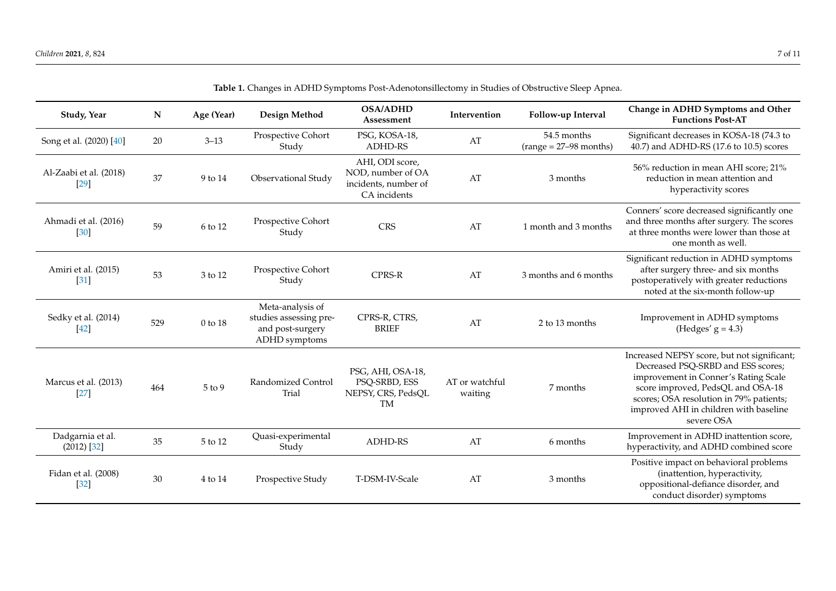| Table 1. Changes in ADT1D Jymptonis I ost-Auenotonsmectomy in Judies of Obstructive Jieep Aphea. |             |               |                                                                                 |                                                                              |                           |                                         |                                                                                                                                                                                                                                                                   |  |  |  |
|--------------------------------------------------------------------------------------------------|-------------|---------------|---------------------------------------------------------------------------------|------------------------------------------------------------------------------|---------------------------|-----------------------------------------|-------------------------------------------------------------------------------------------------------------------------------------------------------------------------------------------------------------------------------------------------------------------|--|--|--|
| Study, Year                                                                                      | $\mathbf N$ | Age (Year)    | Design Method                                                                   | <b>OSA/ADHD</b><br>Assessment                                                | Intervention              | Follow-up Interval                      | Change in ADHD Symptoms and Other<br><b>Functions Post-AT</b>                                                                                                                                                                                                     |  |  |  |
| Song et al. (2020) [40]                                                                          | 20          | $3 - 13$      | Prospective Cohort<br>Study                                                     | PSG, KOSA-18,<br><b>ADHD-RS</b>                                              | $\mathbf{A}\mathbf{T}$    | 54.5 months<br>$(range = 27-98 months)$ | Significant decreases in KOSA-18 (74.3 to<br>40.7) and ADHD-RS (17.6 to 10.5) scores                                                                                                                                                                              |  |  |  |
| Al-Zaabi et al. (2018)<br>$[29]$                                                                 | 37          | 9 to 14       | Observational Study                                                             | AHI, ODI score,<br>NOD, number of OA<br>incidents, number of<br>CA incidents | AT                        | 3 months                                | 56% reduction in mean AHI score; 21%<br>reduction in mean attention and<br>hyperactivity scores                                                                                                                                                                   |  |  |  |
| Ahmadi et al. (2016)<br>$[30]$                                                                   | 59          | 6 to 12       | Prospective Cohort<br>Study                                                     | <b>CRS</b>                                                                   | AT                        | 1 month and 3 months                    | Conners' score decreased significantly one<br>and three months after surgery. The scores<br>at three months were lower than those at<br>one month as well.                                                                                                        |  |  |  |
| Amiri et al. (2015)<br>$[31]$                                                                    | 53          | $3$ to $12\,$ | Prospective Cohort<br>Study                                                     | CPRS-R                                                                       | AT                        | 3 months and 6 months                   | Significant reduction in ADHD symptoms<br>after surgery three- and six months<br>postoperatively with greater reductions<br>noted at the six-month follow-up                                                                                                      |  |  |  |
| Sedky et al. (2014)<br>$[42]$                                                                    | 529         | $0$ to $18\,$ | Meta-analysis of<br>studies assessing pre-<br>and post-surgery<br>ADHD symptoms | CPRS-R, CTRS,<br><b>BRIEF</b>                                                | AT                        | 2 to 13 months                          | Improvement in ADHD symptoms<br>(Hedges' $g = 4.3$ )                                                                                                                                                                                                              |  |  |  |
| Marcus et al. (2013)<br>$[27]$                                                                   | 464         | $5$ to $9$    | Randomized Control<br>Trial                                                     | PSG, AHI, OSA-18,<br>PSQ-SRBD, ESS<br>NEPSY, CRS, PedsQL<br><b>TM</b>        | AT or watchful<br>waiting | 7 months                                | Increased NEPSY score, but not significant;<br>Decreased PSQ-SRBD and ESS scores;<br>improvement in Conner's Rating Scale<br>score improved, PedsQL and OSA-18<br>scores; OSA resolution in 79% patients;<br>improved AHI in children with baseline<br>severe OSA |  |  |  |
| Dadgarnia et al.<br>$(2012)$ [32]                                                                | 35          | 5 to 12       | Quasi-experimental<br>Study                                                     | <b>ADHD-RS</b>                                                               | AT                        | 6 months                                | Improvement in ADHD inattention score,<br>hyperactivity, and ADHD combined score                                                                                                                                                                                  |  |  |  |
| Fidan et al. (2008)<br>$[32]$                                                                    | 30          | 4 to 14       | Prospective Study                                                               | T-DSM-IV-Scale                                                               | AT                        | 3 months                                | Positive impact on behavioral problems<br>(inattention, hyperactivity,<br>oppositional-defiance disorder, and<br>conduct disorder) symptoms                                                                                                                       |  |  |  |

**Table 1.** Changes in ADHD Symptoms Post-Adenotonsillectomy in Studies of Obstructive Sleep Apnea.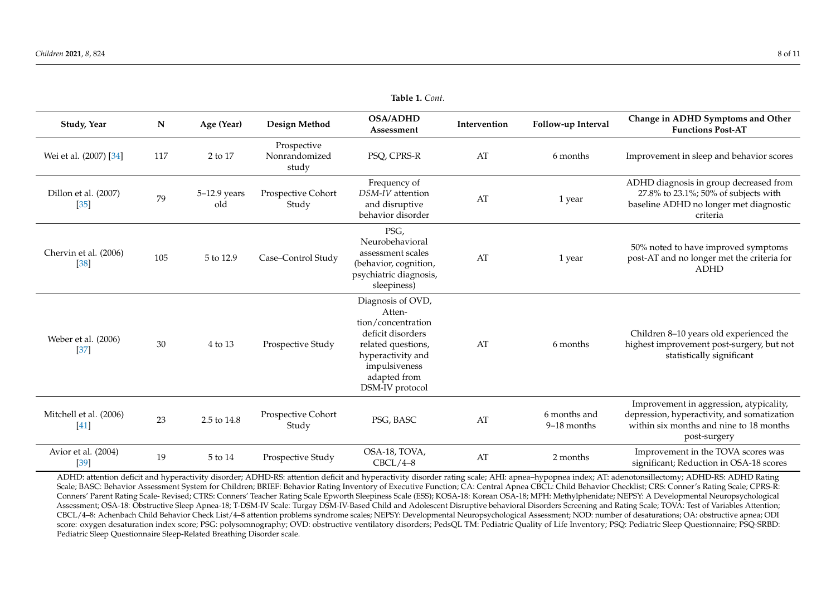| Table 1. Cont.                   |     |                     |                                       |                                                                                                                                                                       |              |                               |                                                                                                                                                   |  |  |  |
|----------------------------------|-----|---------------------|---------------------------------------|-----------------------------------------------------------------------------------------------------------------------------------------------------------------------|--------------|-------------------------------|---------------------------------------------------------------------------------------------------------------------------------------------------|--|--|--|
| Study, Year                      | N   | Age (Year)          | Design Method                         | <b>OSA/ADHD</b><br>Assessment                                                                                                                                         | Intervention | Follow-up Interval            | Change in ADHD Symptoms and Other<br><b>Functions Post-AT</b>                                                                                     |  |  |  |
| Wei et al. (2007) [34]           | 117 | 2 to 17             | Prospective<br>Nonrandomized<br>study | PSQ, CPRS-R                                                                                                                                                           | AT           | 6 months                      | Improvement in sleep and behavior scores                                                                                                          |  |  |  |
| Dillon et al. (2007)<br>$[35]$   | 79  | 5-12.9 years<br>old | Prospective Cohort<br>Study           | Frequency of<br>DSM-IV attention<br>and disruptive<br>behavior disorder                                                                                               | AT           | 1 year                        | ADHD diagnosis in group decreased from<br>27.8% to 23.1%; 50% of subjects with<br>baseline ADHD no longer met diagnostic<br>criteria              |  |  |  |
| Chervin et al. (2006)<br>$[38]$  | 105 | 5 to 12.9           | Case-Control Study                    | PSG,<br>Neurobehavioral<br>assessment scales<br>(behavior, cognition,<br>psychiatric diagnosis,<br>sleepiness)                                                        | AT           | 1 year                        | 50% noted to have improved symptoms<br>post-AT and no longer met the criteria for<br><b>ADHD</b>                                                  |  |  |  |
| Weber et al. (2006)<br>$[37]$    | 30  | 4 to 13             | Prospective Study                     | Diagnosis of OVD,<br>Atten-<br>tion/concentration<br>deficit disorders<br>related questions,<br>hyperactivity and<br>impulsiveness<br>adapted from<br>DSM-IV protocol | AT           | 6 months                      | Children 8–10 years old experienced the<br>highest improvement post-surgery, but not<br>statistically significant                                 |  |  |  |
| Mitchell et al. (2006)<br>$[41]$ | 23  | 2.5 to 14.8         | Prospective Cohort<br>Study           | PSG, BASC                                                                                                                                                             | AT           | 6 months and<br>$9-18$ months | Improvement in aggression, atypicality,<br>depression, hyperactivity, and somatization<br>within six months and nine to 18 months<br>post-surgery |  |  |  |
| Avior et al. (2004)<br>$[39]$    | 19  | 5 to 14             | Prospective Study                     | OSA-18, TOVA,<br>$CBCL/4-8$                                                                                                                                           | AT           | 2 months                      | Improvement in the TOVA scores was<br>significant; Reduction in OSA-18 scores                                                                     |  |  |  |

<span id="page-7-0"></span>ADHD: attention deficit and hyperactivity disorder; ADHD-RS: attention deficit and hyperactivity disorder rating scale; AHI: apnea–hypopnea index; AT: adenotonsillectomy; ADHD-RS: ADHD Rating Scale; BASC: Behavior Assessment System for Children; BRIEF: Behavior Rating Inventory of Executive Function; CA: Central Apnea CBCL: Child Behavior Checklist; CRS: Conner's Rating Scale; CPRS-R: Conners' Parent Rating Scale- Revised; CTRS: Conners' Teacher Rating Scale Epworth Sleepiness Scale (ESS); KOSA-18: Korean OSA-18; MPH: Methylphenidate; NEPSY: A Developmental Neuropsychological Assessment; OSA-18: Obstructive Sleep Apnea-18; T-DSM-IV Scale: Turgay DSM-IV-Based Child and Adolescent Disruptive behavioral Disorders Screening and Rating Scale; TOVA: Test of Variables Attention; CBCL/4–8: Achenbach Child Behavior Check List/4–8 attention problems syndrome scales; NEPSY: Developmental Neuropsychological Assessment; NOD: number of desaturations; OA: obstructive apnea; ODI score: oxygen desaturation index score; PSG: polysomnography; OVD: obstructive ventilatory disorders; PedsQL TM: Pediatric Quality of Life Inventory; PSQ: Pediatric Sleep Questionnaire; PSQ-SRBD: Pediatric Sleep Questionnaire Sleep-Related Breathing Disorder scale.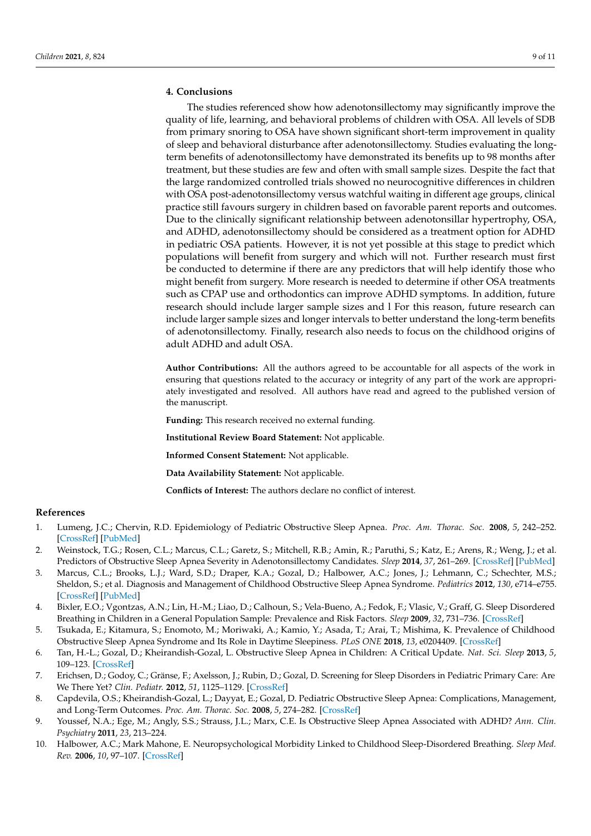## **4. Conclusions**

The studies referenced show how adenotonsillectomy may significantly improve the quality of life, learning, and behavioral problems of children with OSA. All levels of SDB from primary snoring to OSA have shown significant short-term improvement in quality of sleep and behavioral disturbance after adenotonsillectomy. Studies evaluating the longterm benefits of adenotonsillectomy have demonstrated its benefits up to 98 months after treatment, but these studies are few and often with small sample sizes. Despite the fact that the large randomized controlled trials showed no neurocognitive differences in children with OSA post-adenotonsillectomy versus watchful waiting in different age groups, clinical practice still favours surgery in children based on favorable parent reports and outcomes. Due to the clinically significant relationship between adenotonsillar hypertrophy, OSA, and ADHD, adenotonsillectomy should be considered as a treatment option for ADHD in pediatric OSA patients. However, it is not yet possible at this stage to predict which populations will benefit from surgery and which will not. Further research must first be conducted to determine if there are any predictors that will help identify those who might benefit from surgery. More research is needed to determine if other OSA treatments such as CPAP use and orthodontics can improve ADHD symptoms. In addition, future research should include larger sample sizes and l For this reason, future research can include larger sample sizes and longer intervals to better understand the long-term benefits of adenotonsillectomy. Finally, research also needs to focus on the childhood origins of adult ADHD and adult OSA.

**Author Contributions:** All the authors agreed to be accountable for all aspects of the work in ensuring that questions related to the accuracy or integrity of any part of the work are appropriately investigated and resolved. All authors have read and agreed to the published version of the manuscript.

**Funding:** This research received no external funding.

**Institutional Review Board Statement:** Not applicable.

**Informed Consent Statement:** Not applicable.

**Data Availability Statement:** Not applicable.

**Conflicts of Interest:** The authors declare no conflict of interest.

### **References**

- <span id="page-8-0"></span>1. Lumeng, J.C.; Chervin, R.D. Epidemiology of Pediatric Obstructive Sleep Apnea. *Proc. Am. Thorac. Soc.* **2008**, *5*, 242–252. [\[CrossRef\]](http://doi.org/10.1513/pats.200708-135MG) [\[PubMed\]](http://www.ncbi.nlm.nih.gov/pubmed/18250218)
- <span id="page-8-1"></span>2. Weinstock, T.G.; Rosen, C.L.; Marcus, C.L.; Garetz, S.; Mitchell, R.B.; Amin, R.; Paruthi, S.; Katz, E.; Arens, R.; Weng, J.; et al. Predictors of Obstructive Sleep Apnea Severity in Adenotonsillectomy Candidates. *Sleep* **2014**, *37*, 261–269. [\[CrossRef\]](http://doi.org/10.5665/sleep.3394) [\[PubMed\]](http://www.ncbi.nlm.nih.gov/pubmed/24497655)
- <span id="page-8-2"></span>3. Marcus, C.L.; Brooks, L.J.; Ward, S.D.; Draper, K.A.; Gozal, D.; Halbower, A.C.; Jones, J.; Lehmann, C.; Schechter, M.S.; Sheldon, S.; et al. Diagnosis and Management of Childhood Obstructive Sleep Apnea Syndrome. *Pediatrics* **2012**, *130*, e714–e755. [\[CrossRef\]](http://doi.org/10.1542/peds.2012-1672) [\[PubMed\]](http://www.ncbi.nlm.nih.gov/pubmed/22926176)
- <span id="page-8-3"></span>4. Bixler, E.O.; Vgontzas, A.N.; Lin, H.-M.; Liao, D.; Calhoun, S.; Vela-Bueno, A.; Fedok, F.; Vlasic, V.; Graff, G. Sleep Disordered Breathing in Children in a General Population Sample: Prevalence and Risk Factors. *Sleep* **2009**, *32*, 731–736. [\[CrossRef\]](http://doi.org/10.1093/sleep/32.6.731)
- <span id="page-8-4"></span>5. Tsukada, E.; Kitamura, S.; Enomoto, M.; Moriwaki, A.; Kamio, Y.; Asada, T.; Arai, T.; Mishima, K. Prevalence of Childhood Obstructive Sleep Apnea Syndrome and Its Role in Daytime Sleepiness. *PLoS ONE* **2018**, *13*, e0204409. [\[CrossRef\]](http://doi.org/10.1371/journal.pone.0204409)
- <span id="page-8-5"></span>6. Tan, H.-L.; Gozal, D.; Kheirandish-Gozal, L. Obstructive Sleep Apnea in Children: A Critical Update. *Nat. Sci. Sleep* **2013**, *5*, 109–123. [\[CrossRef\]](http://doi.org/10.2147/NSS.S51907)
- <span id="page-8-6"></span>7. Erichsen, D.; Godoy, C.; Gränse, F.; Axelsson, J.; Rubin, D.; Gozal, D. Screening for Sleep Disorders in Pediatric Primary Care: Are We There Yet? *Clin. Pediatr.* **2012**, *51*, 1125–1129. [\[CrossRef\]](http://doi.org/10.1177/0009922812464548)
- <span id="page-8-7"></span>8. Capdevila, O.S.; Kheirandish-Gozal, L.; Dayyat, E.; Gozal, D. Pediatric Obstructive Sleep Apnea: Complications, Management, and Long-Term Outcomes. *Proc. Am. Thorac. Soc.* **2008**, *5*, 274–282. [\[CrossRef\]](http://doi.org/10.1513/pats.200708-138MG)
- <span id="page-8-8"></span>9. Youssef, N.A.; Ege, M.; Angly, S.S.; Strauss, J.L.; Marx, C.E. Is Obstructive Sleep Apnea Associated with ADHD? *Ann. Clin. Psychiatry* **2011**, *23*, 213–224.
- <span id="page-8-9"></span>10. Halbower, A.C.; Mark Mahone, E. Neuropsychological Morbidity Linked to Childhood Sleep-Disordered Breathing. *Sleep Med. Rev.* **2006**, *10*, 97–107. [\[CrossRef\]](http://doi.org/10.1016/j.smrv.2005.10.002)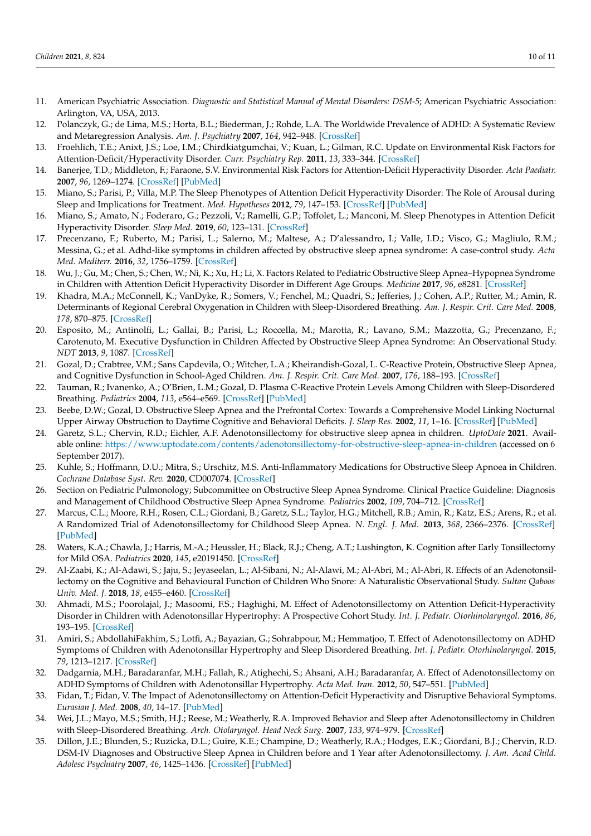- <span id="page-9-0"></span>11. American Psychiatric Association. *Diagnostic and Statistical Manual of Mental Disorders: DSM-5*; American Psychiatric Association: Arlington, VA, USA, 2013.
- <span id="page-9-1"></span>12. Polanczyk, G.; de Lima, M.S.; Horta, B.L.; Biederman, J.; Rohde, L.A. The Worldwide Prevalence of ADHD: A Systematic Review and Metaregression Analysis. *Am. J. Psychiatry* **2007**, *164*, 942–948. [\[CrossRef\]](http://doi.org/10.1176/ajp.2007.164.6.942)
- <span id="page-9-2"></span>13. Froehlich, T.E.; Anixt, J.S.; Loe, I.M.; Chirdkiatgumchai, V.; Kuan, L.; Gilman, R.C. Update on Environmental Risk Factors for Attention-Deficit/Hyperactivity Disorder. *Curr. Psychiatry Rep.* **2011**, *13*, 333–344. [\[CrossRef\]](http://doi.org/10.1007/s11920-011-0221-3)
- <span id="page-9-3"></span>14. Banerjee, T.D.; Middleton, F.; Faraone, S.V. Environmental Risk Factors for Attention-Deficit Hyperactivity Disorder. *Acta Paediatr.* **2007**, *96*, 1269–1274. [\[CrossRef\]](http://doi.org/10.1111/j.1651-2227.2007.00430.x) [\[PubMed\]](http://www.ncbi.nlm.nih.gov/pubmed/17718779)
- <span id="page-9-4"></span>15. Miano, S.; Parisi, P.; Villa, M.P. The Sleep Phenotypes of Attention Deficit Hyperactivity Disorder: The Role of Arousal during Sleep and Implications for Treatment. *Med. Hypotheses* **2012**, *79*, 147–153. [\[CrossRef\]](http://doi.org/10.1016/j.mehy.2012.04.020) [\[PubMed\]](http://www.ncbi.nlm.nih.gov/pubmed/22608760)
- <span id="page-9-5"></span>16. Miano, S.; Amato, N.; Foderaro, G.; Pezzoli, V.; Ramelli, G.P.; Toffolet, L.; Manconi, M. Sleep Phenotypes in Attention Deficit Hyperactivity Disorder. *Sleep Med.* **2019**, *60*, 123–131. [\[CrossRef\]](http://doi.org/10.1016/j.sleep.2018.08.026)
- <span id="page-9-6"></span>17. Precenzano, F.; Ruberto, M.; Parisi, L.; Salerno, M.; Maltese, A.; D'alessandro, I.; Valle, I.D.; Visco, G.; Magliulo, R.M.; Messina, G.; et al. Adhd-like symptoms in children affected by obstructive sleep apnea syndrome: A case-control study. *Acta Med. Mediterr.* **2016**, *32*, 1756–1759. [\[CrossRef\]](http://doi.org/10.19193/0393-6384_2016_6_159)
- <span id="page-9-28"></span><span id="page-9-7"></span>18. Wu, J.; Gu, M.; Chen, S.; Chen, W.; Ni, K.; Xu, H.; Li, X. Factors Related to Pediatric Obstructive Sleep Apnea–Hypopnea Syndrome in Children with Attention Deficit Hyperactivity Disorder in Different Age Groups. *Medicine* **2017**, *96*, e8281. [\[CrossRef\]](http://doi.org/10.1097/MD.0000000000008281)
- <span id="page-9-8"></span>19. Khadra, M.A.; McConnell, K.; VanDyke, R.; Somers, V.; Fenchel, M.; Quadri, S.; Jefferies, J.; Cohen, A.P.; Rutter, M.; Amin, R. Determinants of Regional Cerebral Oxygenation in Children with Sleep-Disordered Breathing. *Am. J. Respir. Crit. Care Med.* **2008**, *178*, 870–875. [\[CrossRef\]](http://doi.org/10.1164/rccm.200802-321OC)
- <span id="page-9-25"></span><span id="page-9-9"></span>20. Esposito, M.; Antinolfi, L.; Gallai, B.; Parisi, L.; Roccella, M.; Marotta, R.; Lavano, S.M.; Mazzotta, G.; Precenzano, F.; Carotenuto, M. Executive Dysfunction in Children Affected by Obstructive Sleep Apnea Syndrome: An Observational Study. *NDT* **2013**, *9*, 1087. [\[CrossRef\]](http://doi.org/10.2147/NDT.S47287)
- <span id="page-9-26"></span><span id="page-9-10"></span>21. Gozal, D.; Crabtree, V.M.; Sans Capdevila, O.; Witcher, L.A.; Kheirandish-Gozal, L. C-Reactive Protein, Obstructive Sleep Apnea, and Cognitive Dysfunction in School-Aged Children. *Am. J. Respir. Crit. Care Med.* **2007**, *176*, 188–193. [\[CrossRef\]](http://doi.org/10.1164/rccm.200610-1519OC)
- <span id="page-9-27"></span><span id="page-9-11"></span>22. Tauman, R.; Ivanenko, A.; O'Brien, L.M.; Gozal, D. Plasma C-Reactive Protein Levels Among Children with Sleep-Disordered Breathing. *Pediatrics* **2004**, *113*, e564–e569. [\[CrossRef\]](http://doi.org/10.1542/peds.113.6.e564) [\[PubMed\]](http://www.ncbi.nlm.nih.gov/pubmed/15173538)
- <span id="page-9-12"></span>23. Beebe, D.W.; Gozal, D. Obstructive Sleep Apnea and the Prefrontal Cortex: Towards a Comprehensive Model Linking Nocturnal Upper Airway Obstruction to Daytime Cognitive and Behavioral Deficits. *J. Sleep Res.* **2002**, *11*, 1–16. [\[CrossRef\]](http://doi.org/10.1046/j.1365-2869.2002.00289.x) [\[PubMed\]](http://www.ncbi.nlm.nih.gov/pubmed/11869421)
- <span id="page-9-29"></span><span id="page-9-13"></span>24. Garetz, S.L.; Chervin, R.D.; Eichler, A.F. Adenotonsillectomy for obstructive sleep apnea in children. *UptoDate* **2021**. Available online: <https://www.uptodate.com/contents/adenotonsillectomy-for-obstructive-sleep-apnea-in-children> (accessed on 6 September 2017).
- <span id="page-9-30"></span><span id="page-9-14"></span>25. Kuhle, S.; Hoffmann, D.U.; Mitra, S.; Urschitz, M.S. Anti-Inflammatory Medications for Obstructive Sleep Apnoea in Children. *Cochrane Database Syst. Rev.* **2020**, CD007074. [\[CrossRef\]](http://doi.org/10.1002/14651858.CD007074.pub3)
- <span id="page-9-31"></span><span id="page-9-15"></span>26. Section on Pediatric Pulmonology; Subcommittee on Obstructive Sleep Apnea Syndrome. Clinical Practice Guideline: Diagnosis and Management of Childhood Obstructive Sleep Apnea Syndrome. *Pediatrics* **2002**, *109*, 704–712. [\[CrossRef\]](http://doi.org/10.1542/peds.109.4.704)
- <span id="page-9-16"></span>27. Marcus, C.L.; Moore, R.H.; Rosen, C.L.; Giordani, B.; Garetz, S.L.; Taylor, H.G.; Mitchell, R.B.; Amin, R.; Katz, E.S.; Arens, R.; et al. A Randomized Trial of Adenotonsillectomy for Childhood Sleep Apnea. *N. Engl. J. Med.* **2013**, *368*, 2366–2376. [\[CrossRef\]](http://doi.org/10.1056/NEJMoa1215881) [\[PubMed\]](http://www.ncbi.nlm.nih.gov/pubmed/23692173)
- <span id="page-9-17"></span>28. Waters, K.A.; Chawla, J.; Harris, M.-A.; Heussler, H.; Black, R.J.; Cheng, A.T.; Lushington, K. Cognition after Early Tonsillectomy for Mild OSA. *Pediatrics* **2020**, *145*, e20191450. [\[CrossRef\]](http://doi.org/10.1542/peds.2019-1450)
- <span id="page-9-18"></span>29. Al-Zaabi, K.; Al-Adawi, S.; Jaju, S.; Jeyaseelan, L.; Al-Sibani, N.; Al-Alawi, M.; Al-Abri, M.; Al-Abri, R. Effects of an Adenotonsillectomy on the Cognitive and Behavioural Function of Children Who Snore: A Naturalistic Observational Study. *Sultan Qaboos Univ. Med. J.* **2018**, *18*, e455–e460. [\[CrossRef\]](http://doi.org/10.18295/squmj.2018.18.04.005)
- <span id="page-9-19"></span>30. Ahmadi, M.S.; Poorolajal, J.; Masoomi, F.S.; Haghighi, M. Effect of Adenotonsillectomy on Attention Deficit-Hyperactivity Disorder in Children with Adenotonsillar Hypertrophy: A Prospective Cohort Study. *Int. J. Pediatr. Otorhinolaryngol.* **2016**, *86*, 193–195. [\[CrossRef\]](http://doi.org/10.1016/j.ijporl.2016.05.012)
- <span id="page-9-20"></span>31. Amiri, S.; AbdollahiFakhim, S.; Lotfi, A.; Bayazian, G.; Sohrabpour, M.; Hemmatjoo, T. Effect of Adenotonsillectomy on ADHD Symptoms of Children with Adenotonsillar Hypertrophy and Sleep Disordered Breathing. *Int. J. Pediatr. Otorhinolaryngol.* **2015**, *79*, 1213–1217. [\[CrossRef\]](http://doi.org/10.1016/j.ijporl.2015.05.015)
- <span id="page-9-21"></span>32. Dadgarnia, M.H.; Baradaranfar, M.H.; Fallah, R.; Atighechi, S.; Ahsani, A.H.; Baradaranfar, A. Effect of Adenotonsillectomy on ADHD Symptoms of Children with Adenotonsillar Hypertrophy. *Acta Med. Iran.* **2012**, *50*, 547–551. [\[PubMed\]](http://www.ncbi.nlm.nih.gov/pubmed/23109027)
- <span id="page-9-22"></span>33. Fidan, T.; Fidan, V. The Impact of Adenotonsillectomy on Attention-Deficit Hyperactivity and Disruptive Behavioral Symptoms. *Eurasian J. Med.* **2008**, *40*, 14–17. [\[PubMed\]](http://www.ncbi.nlm.nih.gov/pubmed/25610016)
- <span id="page-9-23"></span>34. Wei, J.L.; Mayo, M.S.; Smith, H.J.; Reese, M.; Weatherly, R.A. Improved Behavior and Sleep after Adenotonsillectomy in Children with Sleep-Disordered Breathing. *Arch. Otolaryngol. Head Neck Surg.* **2007**, *133*, 974–979. [\[CrossRef\]](http://doi.org/10.1001/archotol.133.10.974)
- <span id="page-9-24"></span>35. Dillon, J.E.; Blunden, S.; Ruzicka, D.L.; Guire, K.E.; Champine, D.; Weatherly, R.A.; Hodges, E.K.; Giordani, B.J.; Chervin, R.D. DSM-IV Diagnoses and Obstructive Sleep Apnea in Children before and 1 Year after Adenotonsillectomy. *J. Am. Acad Child. Adolesc Psychiatry* **2007**, *46*, 1425–1436. [\[CrossRef\]](http://doi.org/10.1097/chi.0b013e31814b8eb2) [\[PubMed\]](http://www.ncbi.nlm.nih.gov/pubmed/18049292)